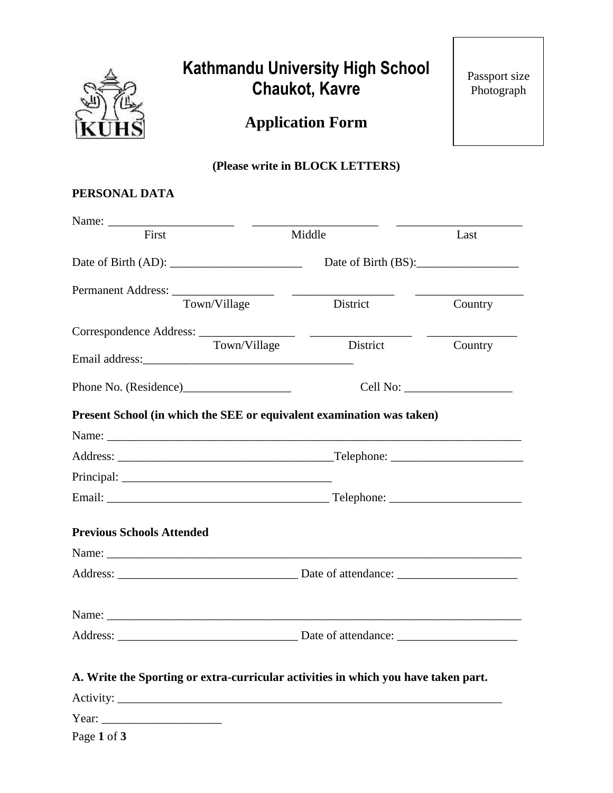

# **Kathmandu University High School Chaukot, Kavre**

Passport size Photograph

**Application Form**

## **(Please write in BLOCK LETTERS)**

## **PERSONAL DATA**

| Middle<br>Last                                                                     |         |  |
|------------------------------------------------------------------------------------|---------|--|
| Date of Birth (BS):                                                                |         |  |
| District                                                                           | Country |  |
| District                                                                           | Country |  |
|                                                                                    |         |  |
| Present School (in which the SEE or equivalent examination was taken)              |         |  |
|                                                                                    |         |  |
|                                                                                    |         |  |
|                                                                                    |         |  |
|                                                                                    |         |  |
|                                                                                    |         |  |
|                                                                                    |         |  |
|                                                                                    |         |  |
|                                                                                    |         |  |
|                                                                                    |         |  |
| A. Write the Sporting or extra-curricular activities in which you have taken part. |         |  |
|                                                                                    |         |  |
|                                                                                    |         |  |
|                                                                                    |         |  |

Page **1** of **3**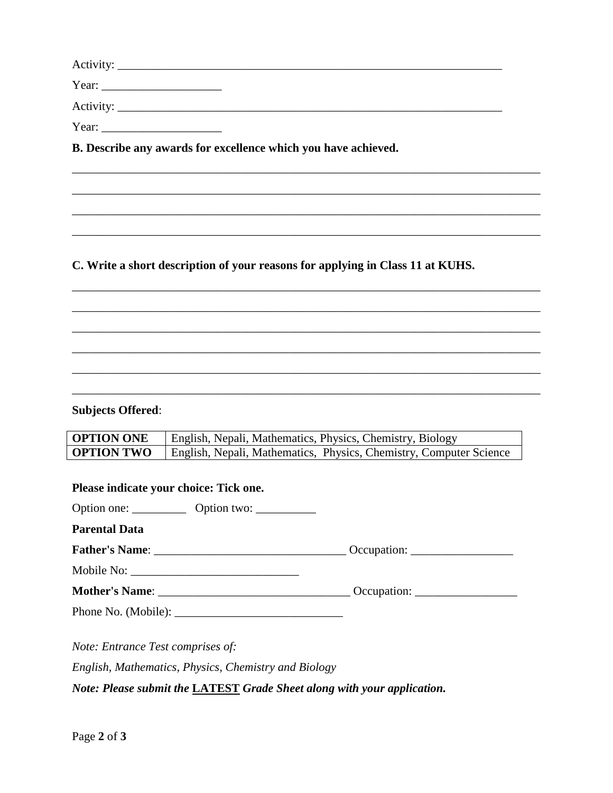| Year: $\qquad \qquad$ |  |
|-----------------------|--|
|                       |  |
| Year:                 |  |

\_\_\_\_\_\_\_\_\_\_\_\_\_\_\_\_\_\_\_\_\_\_\_\_\_\_\_\_\_\_\_\_\_\_\_\_\_\_\_\_\_\_\_\_\_\_\_\_\_\_\_\_\_\_\_\_\_\_\_\_\_\_\_\_\_\_\_\_\_\_\_\_\_\_\_\_\_\_

\_\_\_\_\_\_\_\_\_\_\_\_\_\_\_\_\_\_\_\_\_\_\_\_\_\_\_\_\_\_\_\_\_\_\_\_\_\_\_\_\_\_\_\_\_\_\_\_\_\_\_\_\_\_\_\_\_\_\_\_\_\_\_\_\_\_\_\_\_\_\_\_\_\_\_\_\_\_

\_\_\_\_\_\_\_\_\_\_\_\_\_\_\_\_\_\_\_\_\_\_\_\_\_\_\_\_\_\_\_\_\_\_\_\_\_\_\_\_\_\_\_\_\_\_\_\_\_\_\_\_\_\_\_\_\_\_\_\_\_\_\_\_\_\_\_\_\_\_\_\_\_\_\_\_\_\_

\_\_\_\_\_\_\_\_\_\_\_\_\_\_\_\_\_\_\_\_\_\_\_\_\_\_\_\_\_\_\_\_\_\_\_\_\_\_\_\_\_\_\_\_\_\_\_\_\_\_\_\_\_\_\_\_\_\_\_\_\_\_\_\_\_\_\_\_\_\_\_\_\_\_\_\_\_\_

\_\_\_\_\_\_\_\_\_\_\_\_\_\_\_\_\_\_\_\_\_\_\_\_\_\_\_\_\_\_\_\_\_\_\_\_\_\_\_\_\_\_\_\_\_\_\_\_\_\_\_\_\_\_\_\_\_\_\_\_\_\_\_\_\_\_\_\_\_\_\_\_\_\_\_\_\_\_

\_\_\_\_\_\_\_\_\_\_\_\_\_\_\_\_\_\_\_\_\_\_\_\_\_\_\_\_\_\_\_\_\_\_\_\_\_\_\_\_\_\_\_\_\_\_\_\_\_\_\_\_\_\_\_\_\_\_\_\_\_\_\_\_\_\_\_\_\_\_\_\_\_\_\_\_\_\_

\_\_\_\_\_\_\_\_\_\_\_\_\_\_\_\_\_\_\_\_\_\_\_\_\_\_\_\_\_\_\_\_\_\_\_\_\_\_\_\_\_\_\_\_\_\_\_\_\_\_\_\_\_\_\_\_\_\_\_\_\_\_\_\_\_\_\_\_\_\_\_\_\_\_\_\_\_\_

\_\_\_\_\_\_\_\_\_\_\_\_\_\_\_\_\_\_\_\_\_\_\_\_\_\_\_\_\_\_\_\_\_\_\_\_\_\_\_\_\_\_\_\_\_\_\_\_\_\_\_\_\_\_\_\_\_\_\_\_\_\_\_\_\_\_\_\_\_\_\_\_\_\_\_\_\_\_

\_\_\_\_\_\_\_\_\_\_\_\_\_\_\_\_\_\_\_\_\_\_\_\_\_\_\_\_\_\_\_\_\_\_\_\_\_\_\_\_\_\_\_\_\_\_\_\_\_\_\_\_\_\_\_\_\_\_\_\_\_\_\_\_\_\_\_\_\_\_\_\_\_\_\_\_\_\_

\_\_\_\_\_\_\_\_\_\_\_\_\_\_\_\_\_\_\_\_\_\_\_\_\_\_\_\_\_\_\_\_\_\_\_\_\_\_\_\_\_\_\_\_\_\_\_\_\_\_\_\_\_\_\_\_\_\_\_\_\_\_\_\_\_\_\_\_\_\_\_\_\_\_\_\_\_\_

**B. Describe any awards for excellence which you have achieved.**

**C. Write a short description of your reasons for applying in Class 11 at KUHS.**

## **Subjects Offered**:

| <b>OPTION ONE</b> | English, Nepali, Mathematics, Physics, Chemistry, Biology          |
|-------------------|--------------------------------------------------------------------|
| <b>OPTION TWO</b> | English, Nepali, Mathematics, Physics, Chemistry, Computer Science |

| Please indicate your choice: Tick one. |  |  |  |  |
|----------------------------------------|--|--|--|--|
|                                        |  |  |  |  |
| <b>Parental Data</b>                   |  |  |  |  |
|                                        |  |  |  |  |
|                                        |  |  |  |  |
|                                        |  |  |  |  |
|                                        |  |  |  |  |
| Note: Entrance Test comprises of:      |  |  |  |  |

*English, Mathematics, Physics, Chemistry and Biology*

*Note: Please submit the* **LATEST** *Grade Sheet along with your application.*